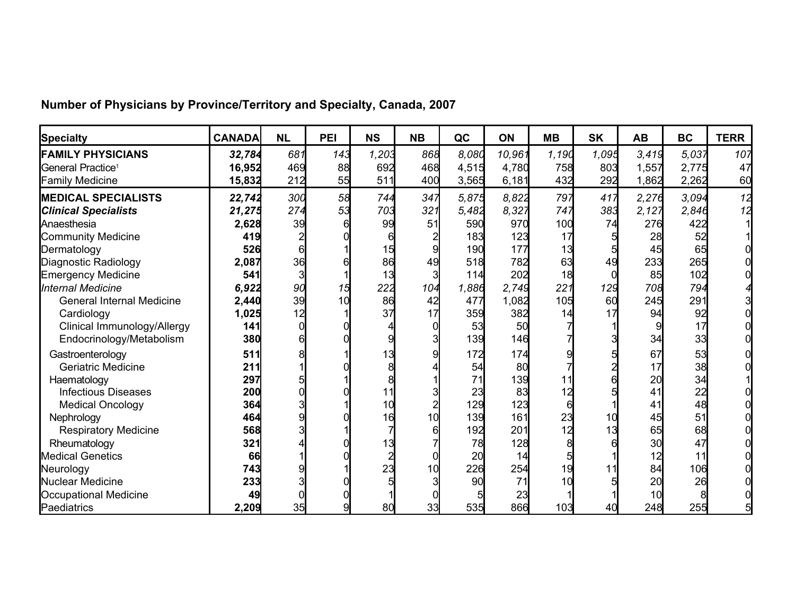|  | Number of Physicians by Province/Territory and Specialty, Canada, 2007 |
|--|------------------------------------------------------------------------|
|--|------------------------------------------------------------------------|

| <b>Specialty</b>                 | <b>CANADA</b> | <b>NL</b> | PEI | <b>NS</b> | <b>NB</b> | QC    | <b>ON</b> | <b>MB</b> | <b>SK</b> | <b>AB</b> | <b>BC</b> | <b>TERR</b> |
|----------------------------------|---------------|-----------|-----|-----------|-----------|-------|-----------|-----------|-----------|-----------|-----------|-------------|
| <b>FAMILY PHYSICIANS</b>         | 32,784        | 681       | 143 | 1,203     | 868       | 8,080 | 10,961    | 1,190     | 1,095     | 3,419     | 5,037     | 107         |
| General Practice <sup>1</sup>    | 16,952        | 469       | 88  | 692       | 468       | 4,515 | 4,780     | 758       | 803       | 1,557     | 2,775     | 47          |
| <b>Family Medicine</b>           | 15,832        | 212       | 55  | 511       | 400       | 3,565 | 6,181     | 432       | 292       | 1,862     | 2,262     | 60          |
| <b>MEDICAL SPECIALISTS</b>       | 22,742        | 30d       | 58  | 744       | 347       | 5.875 | 8.822     | 797       | 417       | 2,276     | 3.094     | 12          |
| <b>Clinical Specialists</b>      | 21,275        | 274       | 53  | 703       | 321       | 5,482 | 8,327     | 747       | 383       | 2,127     | 2,846     | 12          |
| Anaesthesia                      | 2,628         | 39        |     | 99        | 51        | 590   | 970       | 100       | 74        | 276       | 422       |             |
| <b>Community Medicine</b>        | 419           |           |     |           |           | 183   | 123       | 17        |           | 28        | 52        |             |
| Dermatology                      | 526           |           |     | 15        |           | 190   | 177       | 13        |           | 45        | 65        |             |
| Diagnostic Radiology             | 2,087         | 36        |     | 86        | 49        | 518   | 782       | 63        | 49        | 233       | 265       |             |
| <b>Emergency Medicine</b>        | 541           |           |     | 13        |           | 114   | 202       | 18        |           | 85        | 102       |             |
| Internal Medicine                | 6,922         | 90        | 15  | 222       | 104       | 1,886 | 2,749     | 221       | 129       | 708       | 794       |             |
| <b>General Internal Medicine</b> | 2,440         | 39        | 10  | 86        | 42        | 477   | 1,082     | 105       | 60        | 245       | 291       |             |
| Cardiology                       | 1,025         | 12        |     | 37        | 17        | 359   | 382       | 14        |           | 94        | 92        |             |
| Clinical Immunology/Allergy      | 141           |           |     |           |           | 53    | 50        |           |           |           | 17        |             |
| Endocrinology/Metabolism         | 380           |           |     |           |           | 139   | 146       |           |           | 34        | 33        |             |
| Gastroenterology                 | 511           |           |     | 13        |           | 172   | 174       |           |           | 67        | 53        |             |
| Geriatric Medicine               | 211           |           |     |           |           | 54    | 80        |           |           | 17        | 38        |             |
| Haematology                      | 297           |           |     |           |           |       | 139       |           |           | 20        | 34        |             |
| <b>Infectious Diseases</b>       | 200           |           |     |           |           | 23    | 83        | 12        |           | 41        | 22        |             |
| <b>Medical Oncology</b>          | 364           |           |     | 10        |           | 129   | 123       |           |           | 41        | 48        |             |
| Nephrology                       | 464           |           |     | 16        |           | 139   | 161       | 23        | 10        | 45        | 51        |             |
| <b>Respiratory Medicine</b>      | 568           |           |     |           |           | 192   | 201       | 12        | 13        | 65        | 68        |             |
| Rheumatology                     | 321           |           |     |           |           | 78    | 128       |           |           | 30        | 47        |             |
| <b>Medical Genetics</b>          | 66            |           |     |           |           | 20    | 14        |           |           | 12        | 11        |             |
| Neurology                        | 743           |           |     | 23        |           | 226   | 254       | 19        | 11        | 84        | 106       |             |
| Nuclear Medicine                 | 233           |           |     |           |           | 90    | 71        | 10        |           | 20        | 26        |             |
| Occupational Medicine            | 49            |           |     |           |           |       | 23        |           |           | 10        |           |             |
| Paediatrics                      | 2,209         | 35        |     | 80        | 33        | 535   | 866       | 103       | 40        | 248       | 255       |             |